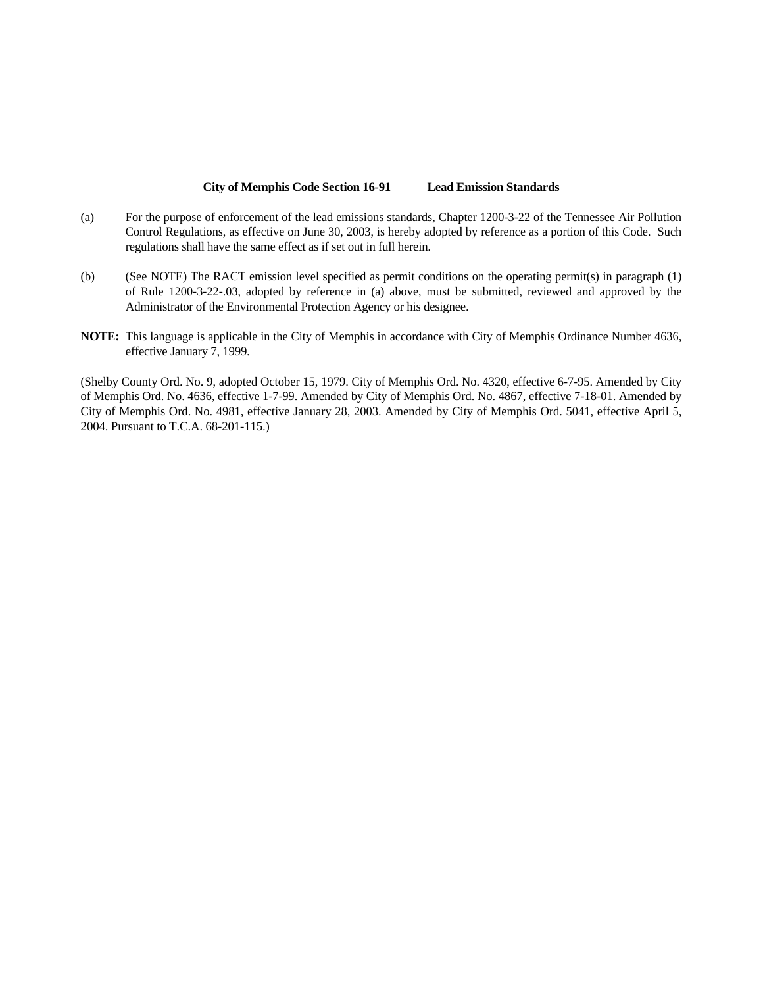#### **City of Memphis Code Section 16-91 Lead Emission Standards**

- (a) For the purpose of enforcement of the lead emissions standards, Chapter 1200-3-22 of the Tennessee Air Pollution Control Regulations, as effective on June 30, 2003, is hereby adopted by reference as a portion of this Code. Such regulations shall have the same effect as if set out in full herein.
- (b) (See NOTE) The RACT emission level specified as permit conditions on the operating permit(s) in paragraph (1) of Rule 1200-3-22-.03, adopted by reference in (a) above, must be submitted, reviewed and approved by the Administrator of the Environmental Protection Agency or his designee.
- **NOTE:** This language is applicable in the City of Memphis in accordance with City of Memphis Ordinance Number 4636, effective January 7, 1999.

(Shelby County Ord. No. 9, adopted October 15, 1979. City of Memphis Ord. No. 4320, effective 6-7-95. Amended by City of Memphis Ord. No. 4636, effective 1-7-99. Amended by City of Memphis Ord. No. 4867, effective 7-18-01. Amended by City of Memphis Ord. No. 4981, effective January 28, 2003. Amended by City of Memphis Ord. 5041, effective April 5, 2004. Pursuant to T.C.A. 68-201-115.)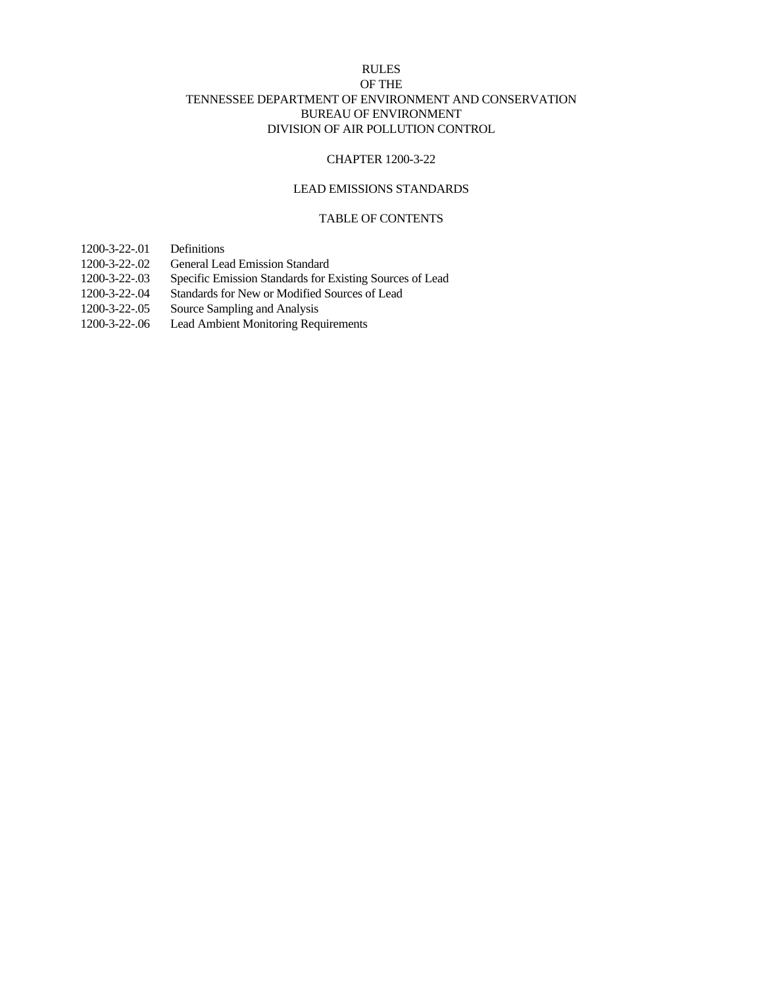## RULES OF THE TENNESSEE DEPARTMENT OF ENVIRONMENT AND CONSERVATION BUREAU OF ENVIRONMENT DIVISION OF AIR POLLUTION CONTROL

## CHAPTER 1200-3-22

## LEAD EMISSIONS STANDARDS

## TABLE OF CONTENTS

- 1200-3-22-.01 Definitions
- 1200-3-22-.02 General Lead Emission Standard
- 1200-3-22-.03 Specific Emission Standards for Existing Sources of Lead
- 1200-3-22-.04 Standards for New or Modified Sources of Lead
- 1200-3-22-.05 Source Sampling and Analysis
- 1200-3-22-.06 Lead Ambient Monitoring Requirements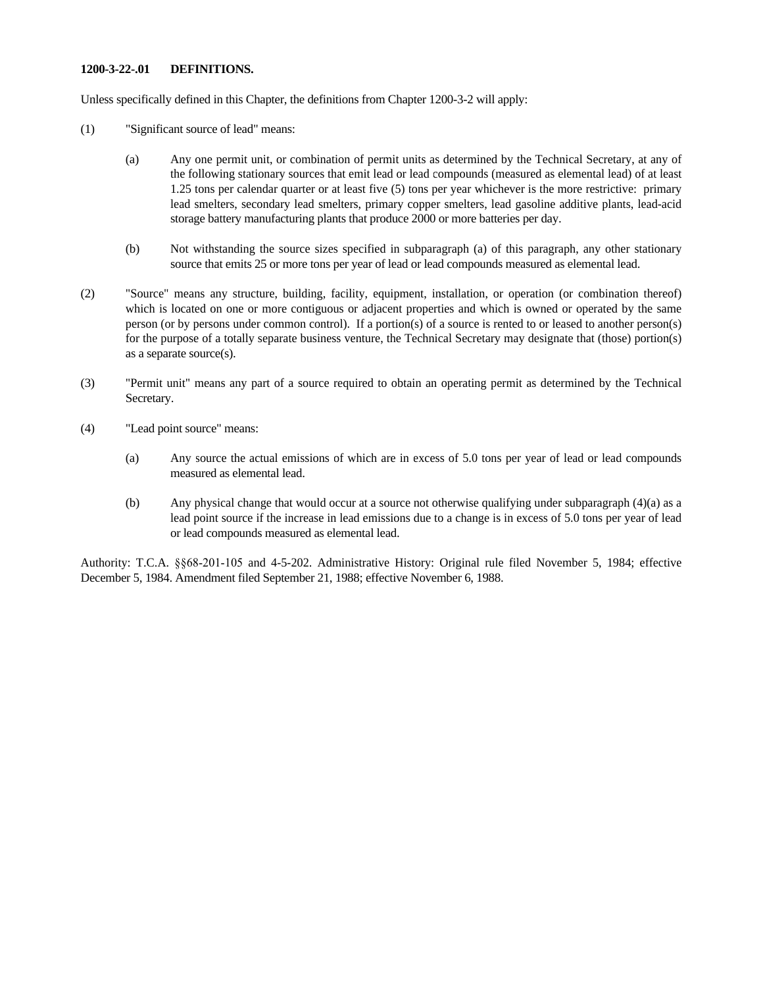### **1200-3-22-.01 DEFINITIONS.**

Unless specifically defined in this Chapter, the definitions from Chapter 1200-3-2 will apply:

- (1) "Significant source of lead" means:
	- (a) Any one permit unit, or combination of permit units as determined by the Technical Secretary, at any of the following stationary sources that emit lead or lead compounds (measured as elemental lead) of at least 1.25 tons per calendar quarter or at least five (5) tons per year whichever is the more restrictive: primary lead smelters, secondary lead smelters, primary copper smelters, lead gasoline additive plants, lead-acid storage battery manufacturing plants that produce 2000 or more batteries per day.
	- (b) Not withstanding the source sizes specified in subparagraph (a) of this paragraph, any other stationary source that emits 25 or more tons per year of lead or lead compounds measured as elemental lead.
- (2) "Source" means any structure, building, facility, equipment, installation, or operation (or combination thereof) which is located on one or more contiguous or adjacent properties and which is owned or operated by the same person (or by persons under common control). If a portion(s) of a source is rented to or leased to another person(s) for the purpose of a totally separate business venture, the Technical Secretary may designate that (those) portion(s) as a separate source(s).
- (3) "Permit unit" means any part of a source required to obtain an operating permit as determined by the Technical Secretary.
- (4) "Lead point source" means:
	- (a) Any source the actual emissions of which are in excess of 5.0 tons per year of lead or lead compounds measured as elemental lead.
	- (b) Any physical change that would occur at a source not otherwise qualifying under subparagraph (4)(a) as a lead point source if the increase in lead emissions due to a change is in excess of 5.0 tons per year of lead or lead compounds measured as elemental lead.

Authority: T.C.A. §§68-201-105 and 4-5-202. Administrative History: Original rule filed November 5, 1984; effective December 5, 1984. Amendment filed September 21, 1988; effective November 6, 1988.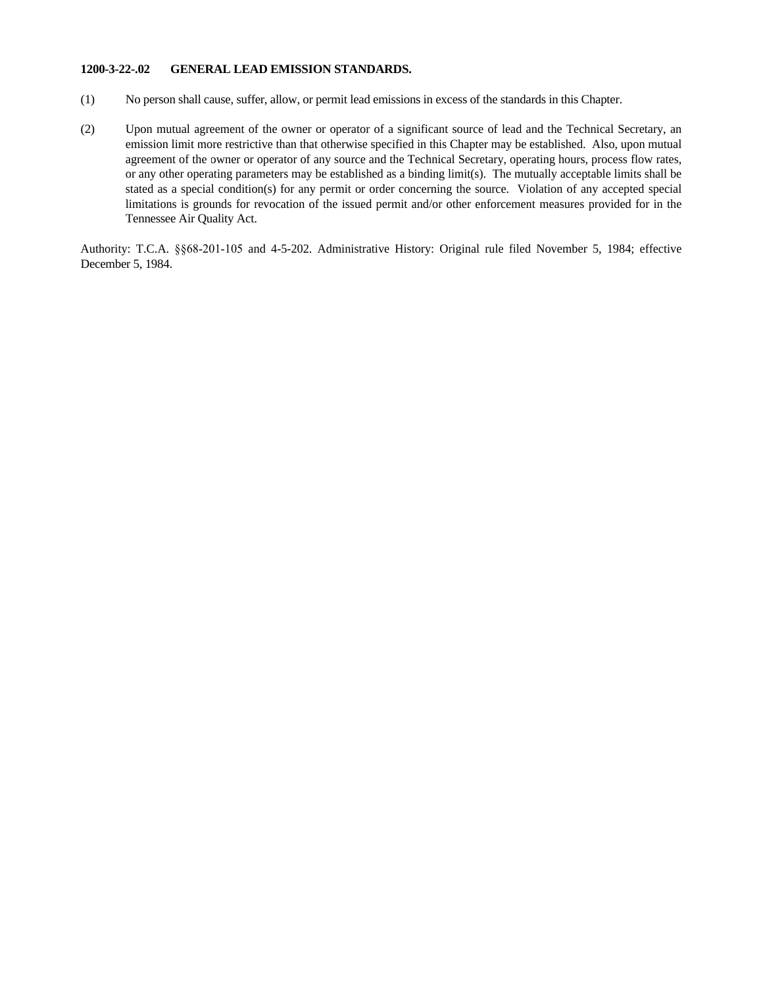### **1200-3-22-.02 GENERAL LEAD EMISSION STANDARDS.**

- (1) No person shall cause, suffer, allow, or permit lead emissions in excess of the standards in this Chapter.
- (2) Upon mutual agreement of the owner or operator of a significant source of lead and the Technical Secretary, an emission limit more restrictive than that otherwise specified in this Chapter may be established. Also, upon mutual agreement of the owner or operator of any source and the Technical Secretary, operating hours, process flow rates, or any other operating parameters may be established as a binding limit(s). The mutually acceptable limits shall be stated as a special condition(s) for any permit or order concerning the source. Violation of any accepted special limitations is grounds for revocation of the issued permit and/or other enforcement measures provided for in the Tennessee Air Quality Act.

Authority: T.C.A. §§68-201-105 and 4-5-202. Administrative History: Original rule filed November 5, 1984; effective December 5, 1984.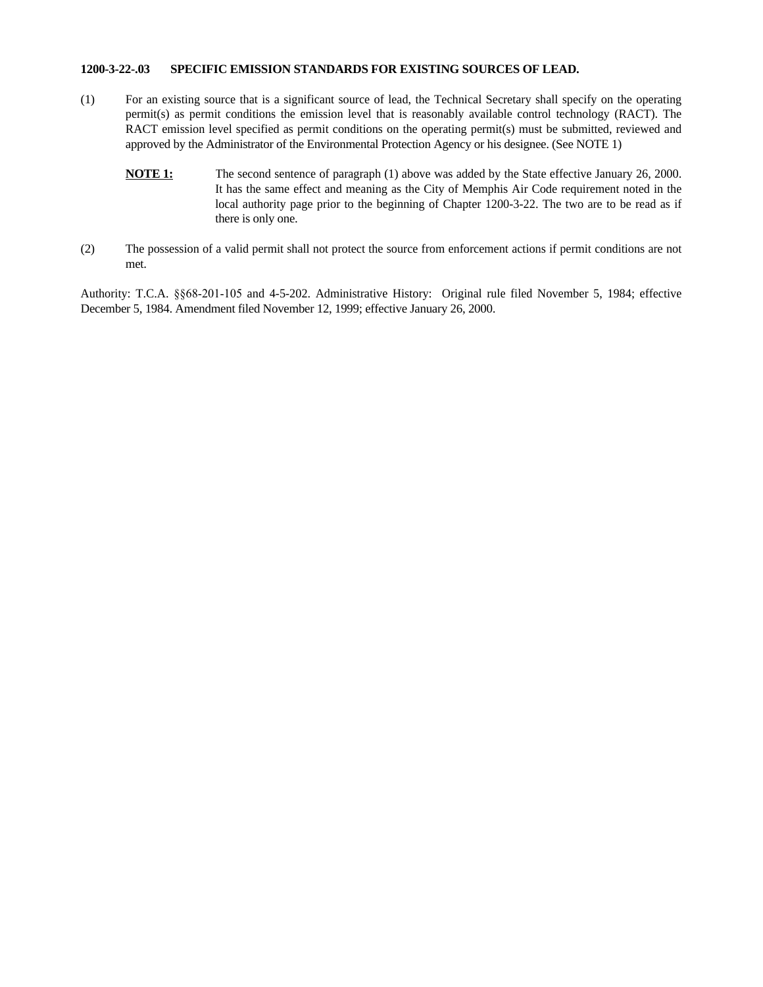### **1200-3-22-.03 SPECIFIC EMISSION STANDARDS FOR EXISTING SOURCES OF LEAD.**

- (1) For an existing source that is a significant source of lead, the Technical Secretary shall specify on the operating permit(s) as permit conditions the emission level that is reasonably available control technology (RACT). The RACT emission level specified as permit conditions on the operating permit(s) must be submitted, reviewed and approved by the Administrator of the Environmental Protection Agency or his designee. (See NOTE 1)
	- **NOTE 1:** The second sentence of paragraph (1) above was added by the State effective January 26, 2000. It has the same effect and meaning as the City of Memphis Air Code requirement noted in the local authority page prior to the beginning of Chapter 1200-3-22. The two are to be read as if there is only one.
- (2) The possession of a valid permit shall not protect the source from enforcement actions if permit conditions are not met.

Authority: T.C.A. §§68-201-105 and 4-5-202. Administrative History: Original rule filed November 5, 1984; effective December 5, 1984. Amendment filed November 12, 1999; effective January 26, 2000.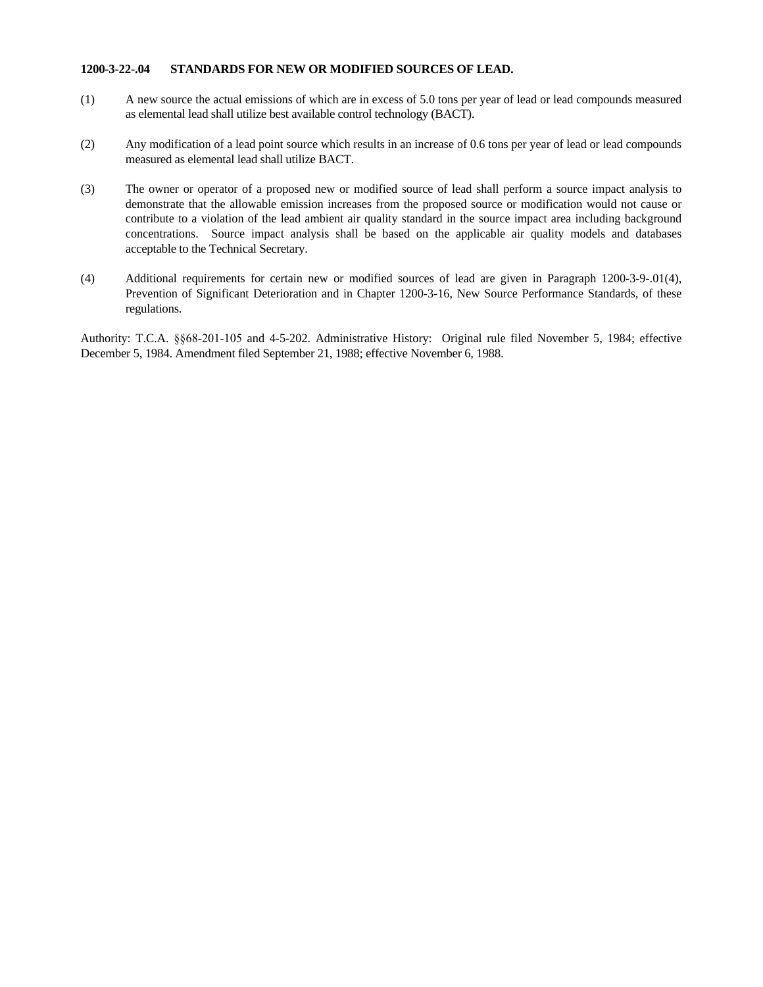### **1200-3-22-.04 STANDARDS FOR NEW OR MODIFIED SOURCES OF LEAD.**

- (1) A new source the actual emissions of which are in excess of 5.0 tons per year of lead or lead compounds measured as elemental lead shall utilize best available control technology (BACT).
- (2) Any modification of a lead point source which results in an increase of 0.6 tons per year of lead or lead compounds measured as elemental lead shall utilize BACT.
- (3) The owner or operator of a proposed new or modified source of lead shall perform a source impact analysis to demonstrate that the allowable emission increases from the proposed source or modification would not cause or contribute to a violation of the lead ambient air quality standard in the source impact area including background concentrations. Source impact analysis shall be based on the applicable air quality models and databases acceptable to the Technical Secretary.
- (4) Additional requirements for certain new or modified sources of lead are given in Paragraph 1200-3-9-.01(4), Prevention of Significant Deterioration and in Chapter 1200-3-16, New Source Performance Standards, of these regulations.

Authority: T.C.A. §§68-201-105 and 4-5-202. Administrative History: Original rule filed November 5, 1984; effective December 5, 1984. Amendment filed September 21, 1988; effective November 6, 1988.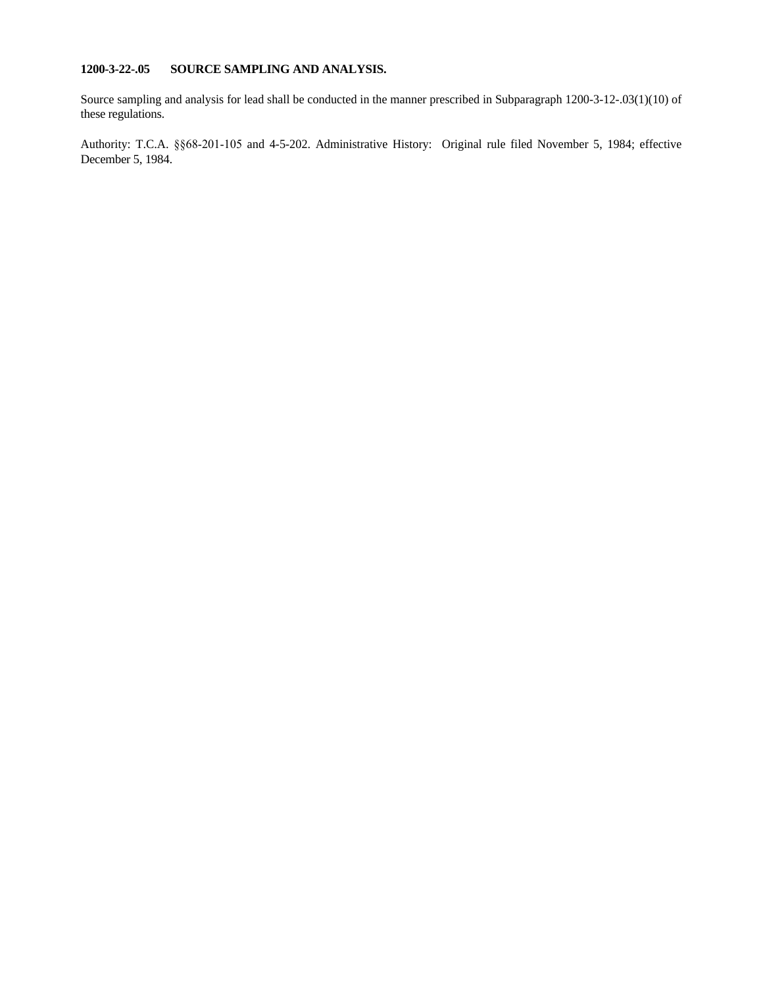# **1200-3-22-.05 SOURCE SAMPLING AND ANALYSIS.**

Source sampling and analysis for lead shall be conducted in the manner prescribed in Subparagraph 1200-3-12-.03(1)(10) of these regulations.

Authority: T.C.A. §§68-201-105 and 4-5-202. Administrative History: Original rule filed November 5, 1984; effective December 5, 1984.